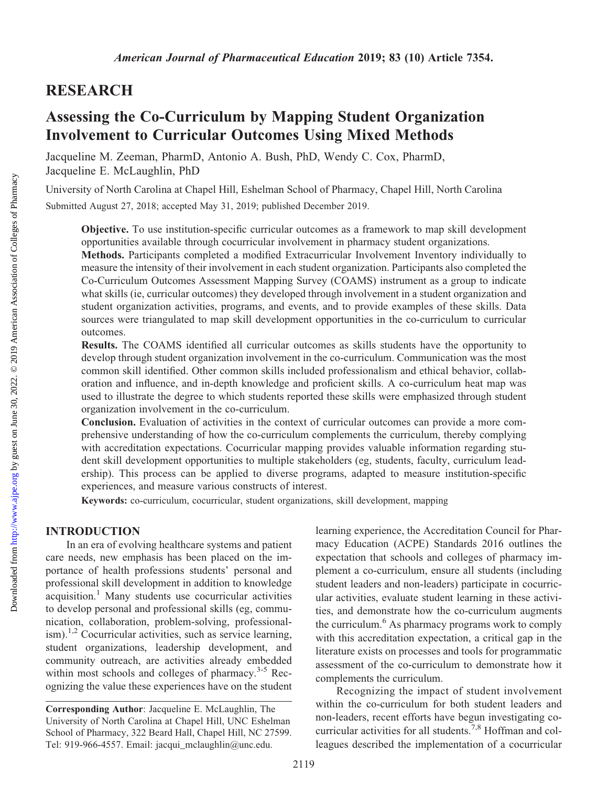# RESEARCH

# Assessing the Co-Curriculum by Mapping Student Organization Involvement to Curricular Outcomes Using Mixed Methods

Jacqueline M. Zeeman, PharmD, Antonio A. Bush, PhD, Wendy C. Cox, PharmD, Jacqueline E. McLaughlin, PhD

University of North Carolina at Chapel Hill, Eshelman School of Pharmacy, Chapel Hill, North Carolina Submitted August 27, 2018; accepted May 31, 2019; published December 2019.

Objective. To use institution-specific curricular outcomes as a framework to map skill development opportunities available through cocurricular involvement in pharmacy student organizations.

Methods. Participants completed a modified Extracurricular Involvement Inventory individually to measure the intensity of their involvement in each student organization. Participants also completed the Co-Curriculum Outcomes Assessment Mapping Survey (COAMS) instrument as a group to indicate what skills (ie, curricular outcomes) they developed through involvement in a student organization and student organization activities, programs, and events, and to provide examples of these skills. Data sources were triangulated to map skill development opportunities in the co-curriculum to curricular outcomes.

Results. The COAMS identified all curricular outcomes as skills students have the opportunity to develop through student organization involvement in the co-curriculum. Communication was the most common skill identified. Other common skills included professionalism and ethical behavior, collaboration and influence, and in-depth knowledge and proficient skills. A co-curriculum heat map was used to illustrate the degree to which students reported these skills were emphasized through student organization involvement in the co-curriculum.

Conclusion. Evaluation of activities in the context of curricular outcomes can provide a more comprehensive understanding of how the co-curriculum complements the curriculum, thereby complying with accreditation expectations. Cocurricular mapping provides valuable information regarding student skill development opportunities to multiple stakeholders (eg, students, faculty, curriculum leadership). This process can be applied to diverse programs, adapted to measure institution-specific experiences, and measure various constructs of interest.

Keywords: co-curriculum, cocurricular, student organizations, skill development, mapping

#### INTRODUCTION

In an era of evolving healthcare systems and patient care needs, new emphasis has been placed on the importance of health professions students' personal and professional skill development in addition to knowledge  $acquisition.<sup>1</sup>$  Many students use cocurricular activities to develop personal and professional skills (eg, communication, collaboration, problem-solving, professionalism).<sup>1,2</sup> Cocurricular activities, such as service learning, student organizations, leadership development, and community outreach, are activities already embedded within most schools and colleges of pharmacy.<sup>3-5</sup> Recognizing the value these experiences have on the student learning experience, the Accreditation Council for Pharmacy Education (ACPE) Standards 2016 outlines the expectation that schools and colleges of pharmacy implement a co-curriculum, ensure all students (including student leaders and non-leaders) participate in cocurricular activities, evaluate student learning in these activities, and demonstrate how the co-curriculum augments the curriculum.<sup>6</sup> As pharmacy programs work to comply with this accreditation expectation, a critical gap in the literature exists on processes and tools for programmatic assessment of the co-curriculum to demonstrate how it complements the curriculum.

Recognizing the impact of student involvement within the co-curriculum for both student leaders and non-leaders, recent efforts have begun investigating cocurricular activities for all students.<sup>7,8</sup> Hoffman and colleagues described the implementation of a cocurricular

Corresponding Author: Jacqueline E. McLaughlin, The University of North Carolina at Chapel Hill, UNC Eshelman School of Pharmacy, 322 Beard Hall, Chapel Hill, NC 27599. Tel: 919-966-4557. Email: [jacqui\\_mclaughlin@unc.edu](mailto:jacqui_mclaughlin@unc.edu).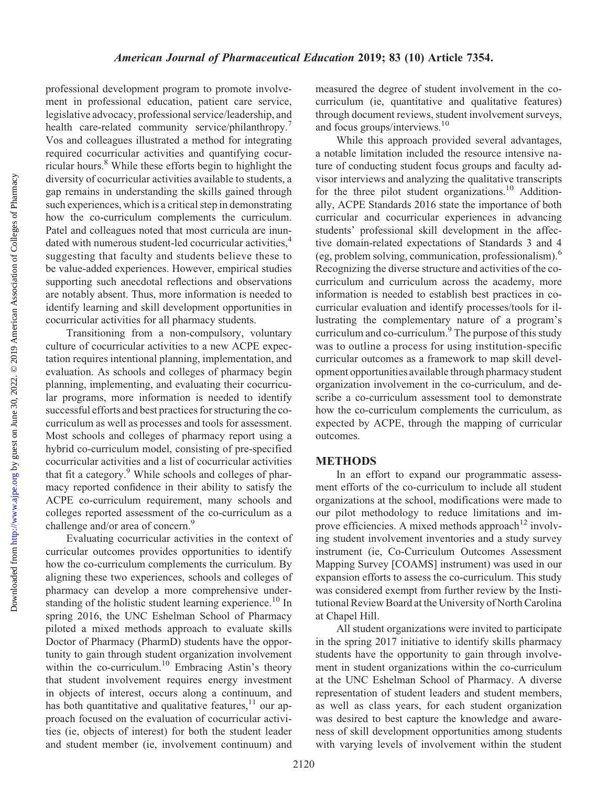Downloaded from http://www.ajpe.org by guest on June 30, 2022. © 2019 American Association of Colleges of Pharmacy by guest on June 30, 2022. © 2019 American Association of Colleges of Pharmacy <http://www.ajpe.org> Downloaded from

professional development program to promote involvement in professional education, patient care service, legislative advocacy, professional service/leadership, and health care-related community service/philanthropy.<sup>7</sup> Vos and colleagues illustrated a method for integrating required cocurricular activities and quantifying cocurricular hours.8 While these efforts begin to highlight the diversity of cocurricular activities available to students, a gap remains in understanding the skills gained through such experiences, which is a critical step in demonstrating how the co-curriculum complements the curriculum. Patel and colleagues noted that most curricula are inundated with numerous student-led cocurricular activities,<sup>4</sup> suggesting that faculty and students believe these to be value-added experiences. However, empirical studies supporting such anecdotal reflections and observations are notably absent. Thus, more information is needed to identify learning and skill development opportunities in cocurricular activities for all pharmacy students.

Transitioning from a non-compulsory, voluntary culture of cocurricular activities to a new ACPE expectation requires intentional planning, implementation, and evaluation. As schools and colleges of pharmacy begin planning, implementing, and evaluating their cocurricular programs, more information is needed to identify successful efforts and best practices for structuring the cocurriculum as well as processes and tools for assessment. Most schools and colleges of pharmacy report using a hybrid co-curriculum model, consisting of pre-specified cocurricular activities and a list of cocurricular activities that fit a category.<sup>9</sup> While schools and colleges of pharmacy reported confidence in their ability to satisfy the ACPE co-curriculum requirement, many schools and colleges reported assessment of the co-curriculum as a challenge and/or area of concern.<sup>9</sup>

Evaluating cocurricular activities in the context of curricular outcomes provides opportunities to identify how the co-curriculum complements the curriculum. By aligning these two experiences, schools and colleges of pharmacy can develop a more comprehensive understanding of the holistic student learning experience.<sup>10</sup> In spring 2016, the UNC Eshelman School of Pharmacy piloted a mixed methods approach to evaluate skills Doctor of Pharmacy (PharmD) students have the opportunity to gain through student organization involvement within the co-curriculum.<sup>10</sup> Embracing Astin's theory that student involvement requires energy investment in objects of interest, occurs along a continuum, and has both quantitative and qualitative features, $11$  our approach focused on the evaluation of cocurricular activities (ie, objects of interest) for both the student leader and student member (ie, involvement continuum) and

measured the degree of student involvement in the cocurriculum (ie, quantitative and qualitative features) through document reviews, student involvement surveys, and focus groups/interviews.<sup>10</sup>

While this approach provided several advantages, a notable limitation included the resource intensive nature of conducting student focus groups and faculty advisor interviews and analyzing the qualitative transcripts for the three pilot student organizations.<sup>10</sup> Additionally, ACPE Standards 2016 state the importance of both curricular and cocurricular experiences in advancing students' professional skill development in the affective domain-related expectations of Standards 3 and 4 (eg, problem solving, communication, professionalism).6 Recognizing the diverse structure and activities of the cocurriculum and curriculum across the academy, more information is needed to establish best practices in cocurricular evaluation and identify processes/tools for illustrating the complementary nature of a program's curriculum and co-curriculum.<sup>9</sup> The purpose of this study was to outline a process for using institution-specific curricular outcomes as a framework to map skill development opportunities available through pharmacy student organization involvement in the co-curriculum, and describe a co-curriculum assessment tool to demonstrate how the co-curriculum complements the curriculum, as expected by ACPE, through the mapping of curricular outcomes.

#### METHODS

In an effort to expand our programmatic assessment efforts of the co-curriculum to include all student organizations at the school, modifications were made to our pilot methodology to reduce limitations and improve efficiencies. A mixed methods approach<sup>12</sup> involving student involvement inventories and a study survey instrument (ie, Co-Curriculum Outcomes Assessment Mapping Survey [COAMS] instrument) was used in our expansion efforts to assess the co-curriculum. This study was considered exempt from further review by the Institutional Review Board at the University of North Carolina at Chapel Hill.

All student organizations were invited to participate in the spring 2017 initiative to identify skills pharmacy students have the opportunity to gain through involvement in student organizations within the co-curriculum at the UNC Eshelman School of Pharmacy. A diverse representation of student leaders and student members, as well as class years, for each student organization was desired to best capture the knowledge and awareness of skill development opportunities among students with varying levels of involvement within the student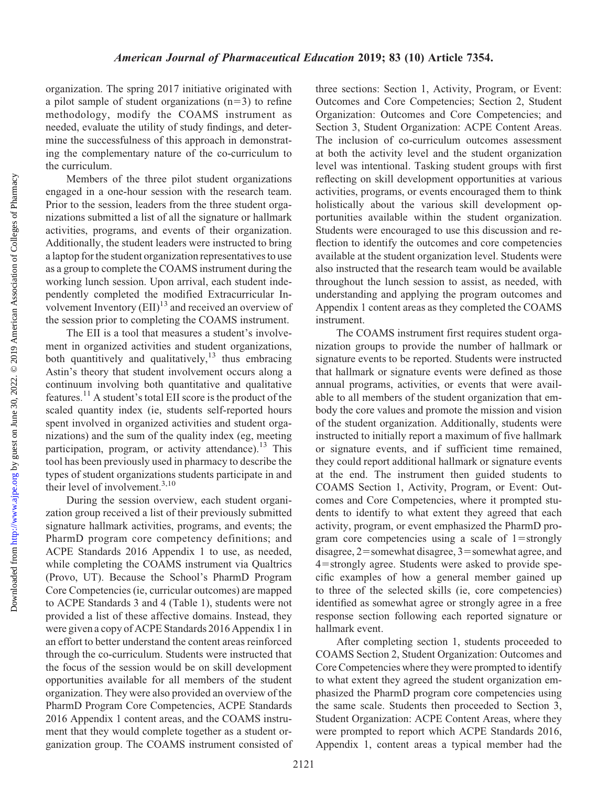organization. The spring 2017 initiative originated with a pilot sample of student organizations  $(n=3)$  to refine methodology, modify the COAMS instrument as needed, evaluate the utility of study findings, and determine the successfulness of this approach in demonstrating the complementary nature of the co-curriculum to the curriculum.

Members of the three pilot student organizations engaged in a one-hour session with the research team. Prior to the session, leaders from the three student organizations submitted a list of all the signature or hallmark activities, programs, and events of their organization. Additionally, the student leaders were instructed to bring a laptop for the student organization representatives to use as a group to complete the COAMS instrument during the working lunch session. Upon arrival, each student independently completed the modified Extracurricular Involvement Inventory  $(EII)^{13}$  and received an overview of the session prior to completing the COAMS instrument.

The EII is a tool that measures a student's involvement in organized activities and student organizations, both quantitively and qualitatively,<sup>13</sup> thus embracing Astin's theory that student involvement occurs along a continuum involving both quantitative and qualitative features.<sup>11</sup> A student's total EII score is the product of the scaled quantity index (ie, students self-reported hours spent involved in organized activities and student organizations) and the sum of the quality index (eg, meeting participation, program, or activity attendance).<sup>13</sup> This tool has been previously used in pharmacy to describe the types of student organizations students participate in and their level of involvement.<sup>3,10</sup>

During the session overview, each student organization group received a list of their previously submitted signature hallmark activities, programs, and events; the PharmD program core competency definitions; and ACPE Standards 2016 Appendix 1 to use, as needed, while completing the COAMS instrument via Qualtrics (Provo, UT). Because the School's PharmD Program Core Competencies (ie, curricular outcomes) are mapped to ACPE Standards 3 and 4 (Table 1), students were not provided a list of these affective domains. Instead, they were given a copy of ACPE Standards 2016 Appendix 1 in an effort to better understand the content areas reinforced through the co-curriculum. Students were instructed that the focus of the session would be on skill development opportunities available for all members of the student organization. They were also provided an overview of the PharmD Program Core Competencies, ACPE Standards 2016 Appendix 1 content areas, and the COAMS instrument that they would complete together as a student organization group. The COAMS instrument consisted of three sections: Section 1, Activity, Program, or Event: Outcomes and Core Competencies; Section 2, Student Organization: Outcomes and Core Competencies; and Section 3, Student Organization: ACPE Content Areas. The inclusion of co-curriculum outcomes assessment at both the activity level and the student organization level was intentional. Tasking student groups with first reflecting on skill development opportunities at various activities, programs, or events encouraged them to think holistically about the various skill development opportunities available within the student organization. Students were encouraged to use this discussion and reflection to identify the outcomes and core competencies available at the student organization level. Students were also instructed that the research team would be available throughout the lunch session to assist, as needed, with understanding and applying the program outcomes and Appendix 1 content areas as they completed the COAMS instrument.

The COAMS instrument first requires student organization groups to provide the number of hallmark or signature events to be reported. Students were instructed that hallmark or signature events were defined as those annual programs, activities, or events that were available to all members of the student organization that embody the core values and promote the mission and vision of the student organization. Additionally, students were instructed to initially report a maximum of five hallmark or signature events, and if sufficient time remained, they could report additional hallmark or signature events at the end. The instrument then guided students to COAMS Section 1, Activity, Program, or Event: Outcomes and Core Competencies, where it prompted students to identify to what extent they agreed that each activity, program, or event emphasized the PharmD program core competencies using a scale of  $1 =$ strongly disagree,  $2$ =somewhat disagree,  $3$ =somewhat agree, and 4=strongly agree. Students were asked to provide specific examples of how a general member gained up to three of the selected skills (ie, core competencies) identified as somewhat agree or strongly agree in a free response section following each reported signature or hallmark event.

After completing section 1, students proceeded to COAMS Section 2, Student Organization: Outcomes and Core Competencies where they were prompted to identify to what extent they agreed the student organization emphasized the PharmD program core competencies using the same scale. Students then proceeded to Section 3, Student Organization: ACPE Content Areas, where they were prompted to report which ACPE Standards 2016, Appendix 1, content areas a typical member had the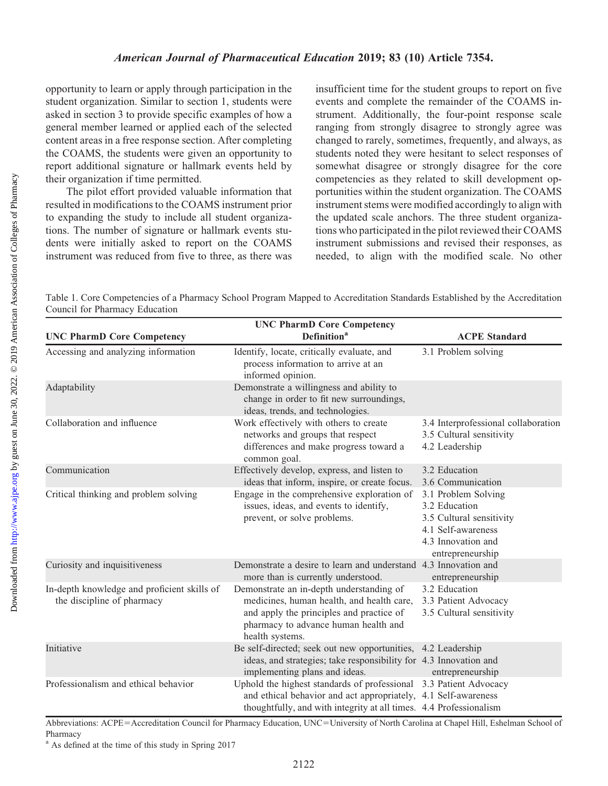opportunity to learn or apply through participation in the student organization. Similar to section 1, students were asked in section 3 to provide specific examples of how a general member learned or applied each of the selected content areas in a free response section. After completing the COAMS, the students were given an opportunity to report additional signature or hallmark events held by their organization if time permitted.

The pilot effort provided valuable information that resulted in modifications to the COAMS instrument prior to expanding the study to include all student organizations. The number of signature or hallmark events students were initially asked to report on the COAMS instrument was reduced from five to three, as there was

insufficient time for the student groups to report on five events and complete the remainder of the COAMS instrument. Additionally, the four-point response scale ranging from strongly disagree to strongly agree was changed to rarely, sometimes, frequently, and always, as students noted they were hesitant to select responses of somewhat disagree or strongly disagree for the core competencies as they related to skill development opportunities within the student organization. The COAMS instrument stems were modified accordingly to align with the updated scale anchors. The three student organizations who participated in the pilot reviewed their COAMS instrument submissions and revised their responses, as needed, to align with the modified scale. No other

Table 1. Core Competencies of a Pharmacy School Program Mapped to Accreditation Standards Established by the Accreditation Council for Pharmacy Education

|                                                                           | <b>UNC PharmD Core Competency</b>                                                                                                                                                                         |                                                                                                                                  |
|---------------------------------------------------------------------------|-----------------------------------------------------------------------------------------------------------------------------------------------------------------------------------------------------------|----------------------------------------------------------------------------------------------------------------------------------|
| <b>UNC PharmD Core Competency</b>                                         | <b>Definition</b> <sup>a</sup>                                                                                                                                                                            | <b>ACPE Standard</b>                                                                                                             |
| Accessing and analyzing information                                       | Identify, locate, critically evaluate, and<br>process information to arrive at an<br>informed opinion.                                                                                                    | 3.1 Problem solving                                                                                                              |
| Adaptability                                                              | Demonstrate a willingness and ability to<br>change in order to fit new surroundings,<br>ideas, trends, and technologies.                                                                                  |                                                                                                                                  |
| Collaboration and influence                                               | Work effectively with others to create<br>networks and groups that respect<br>differences and make progress toward a<br>common goal.                                                                      | 3.4 Interprofessional collaboration<br>3.5 Cultural sensitivity<br>4.2 Leadership                                                |
| Communication                                                             | Effectively develop, express, and listen to<br>ideas that inform, inspire, or create focus.                                                                                                               | 3.2 Education<br>3.6 Communication                                                                                               |
| Critical thinking and problem solving                                     | Engage in the comprehensive exploration of<br>issues, ideas, and events to identify,<br>prevent, or solve problems.                                                                                       | 3.1 Problem Solving<br>3.2 Education<br>3.5 Cultural sensitivity<br>4.1 Self-awareness<br>4.3 Innovation and<br>entrepreneurship |
| Curiosity and inquisitiveness                                             | Demonstrate a desire to learn and understand 4.3 Innovation and<br>more than is currently understood.                                                                                                     | entrepreneurship                                                                                                                 |
| In-depth knowledge and proficient skills of<br>the discipline of pharmacy | Demonstrate an in-depth understanding of<br>medicines, human health, and health care,<br>and apply the principles and practice of<br>pharmacy to advance human health and<br>health systems.              | 3.2 Education<br>3.3 Patient Advocacy<br>3.5 Cultural sensitivity                                                                |
| Initiative                                                                | Be self-directed; seek out new opportunities, 4.2 Leadership<br>ideas, and strategies; take responsibility for 4.3 Innovation and<br>implementing plans and ideas.                                        | entrepreneurship                                                                                                                 |
| Professionalism and ethical behavior                                      | Uphold the highest standards of professional 3.3 Patient Advocacy<br>and ethical behavior and act appropriately, 4.1 Self-awareness<br>thoughtfully, and with integrity at all times. 4.4 Professionalism |                                                                                                                                  |

Abbreviations: ACPE=Accreditation Council for Pharmacy Education, UNC=University of North Carolina at Chapel Hill, Eshelman School of Pharmacy

<sup>a</sup> As defined at the time of this study in Spring 2017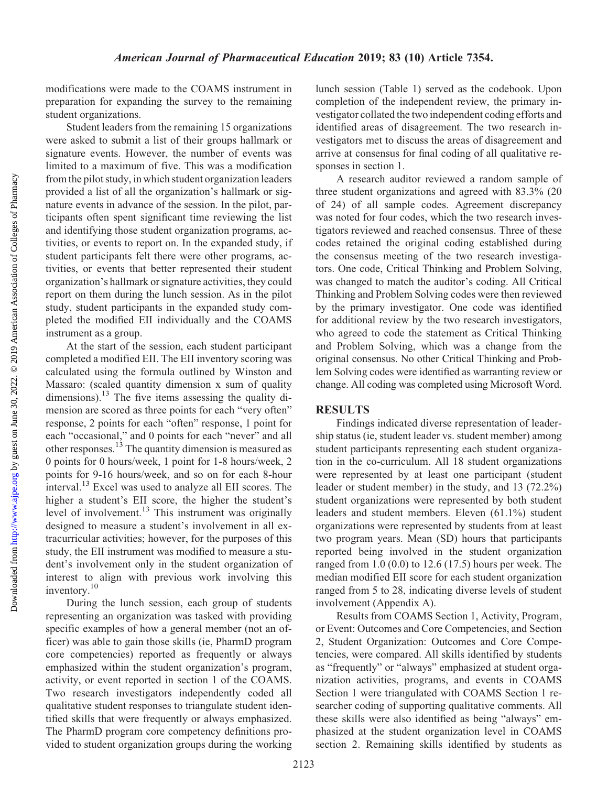modifications were made to the COAMS instrument in preparation for expanding the survey to the remaining student organizations.

Student leaders from the remaining 15 organizations were asked to submit a list of their groups hallmark or signature events. However, the number of events was limited to a maximum of five. This was a modification from the pilot study, in which student organization leaders provided a list of all the organization's hallmark or signature events in advance of the session. In the pilot, participants often spent significant time reviewing the list and identifying those student organization programs, activities, or events to report on. In the expanded study, if student participants felt there were other programs, activities, or events that better represented their student organization's hallmark or signature activities, they could report on them during the lunch session. As in the pilot study, student participants in the expanded study completed the modified EII individually and the COAMS instrument as a group.

At the start of the session, each student participant completed a modified EII. The EII inventory scoring was calculated using the formula outlined by Winston and Massaro: (scaled quantity dimension x sum of quality dimensions).<sup>13</sup> The five items assessing the quality dimension are scored as three points for each "very often" response, 2 points for each "often" response, 1 point for each "occasional," and 0 points for each "never" and all other responses.<sup>13</sup> The quantity dimension is measured as 0 points for 0 hours/week, 1 point for 1-8 hours/week, 2 points for 9-16 hours/week, and so on for each 8-hour interval.13 Excel was used to analyze all EII scores. The higher a student's EII score, the higher the student's level of involvement.<sup>13</sup> This instrument was originally designed to measure a student's involvement in all extracurricular activities; however, for the purposes of this study, the EII instrument was modified to measure a student's involvement only in the student organization of interest to align with previous work involving this inventory.10

During the lunch session, each group of students representing an organization was tasked with providing specific examples of how a general member (not an officer) was able to gain those skills (ie, PharmD program core competencies) reported as frequently or always emphasized within the student organization's program, activity, or event reported in section 1 of the COAMS. Two research investigators independently coded all qualitative student responses to triangulate student identified skills that were frequently or always emphasized. The PharmD program core competency definitions provided to student organization groups during the working lunch session (Table 1) served as the codebook. Upon completion of the independent review, the primary investigator collated the two independent coding efforts and identified areas of disagreement. The two research investigators met to discuss the areas of disagreement and arrive at consensus for final coding of all qualitative responses in section 1.

A research auditor reviewed a random sample of three student organizations and agreed with 83.3% (20 of 24) of all sample codes. Agreement discrepancy was noted for four codes, which the two research investigators reviewed and reached consensus. Three of these codes retained the original coding established during the consensus meeting of the two research investigators. One code, Critical Thinking and Problem Solving, was changed to match the auditor's coding. All Critical Thinking and Problem Solving codes were then reviewed by the primary investigator. One code was identified for additional review by the two research investigators, who agreed to code the statement as Critical Thinking and Problem Solving, which was a change from the original consensus. No other Critical Thinking and Problem Solving codes were identified as warranting review or change. All coding was completed using Microsoft Word.

### **RESULTS**

Findings indicated diverse representation of leadership status (ie, student leader vs. student member) among student participants representing each student organization in the co-curriculum. All 18 student organizations were represented by at least one participant (student leader or student member) in the study, and 13 (72.2%) student organizations were represented by both student leaders and student members. Eleven (61.1%) student organizations were represented by students from at least two program years. Mean (SD) hours that participants reported being involved in the student organization ranged from 1.0 (0.0) to 12.6 (17.5) hours per week. The median modified EII score for each student organization ranged from 5 to 28, indicating diverse levels of student involvement (Appendix A).

Results from COAMS Section 1, Activity, Program, or Event: Outcomes and Core Competencies, and Section 2, Student Organization: Outcomes and Core Competencies, were compared. All skills identified by students as "frequently" or "always" emphasized at student organization activities, programs, and events in COAMS Section 1 were triangulated with COAMS Section 1 researcher coding of supporting qualitative comments. All these skills were also identified as being "always" emphasized at the student organization level in COAMS section 2. Remaining skills identified by students as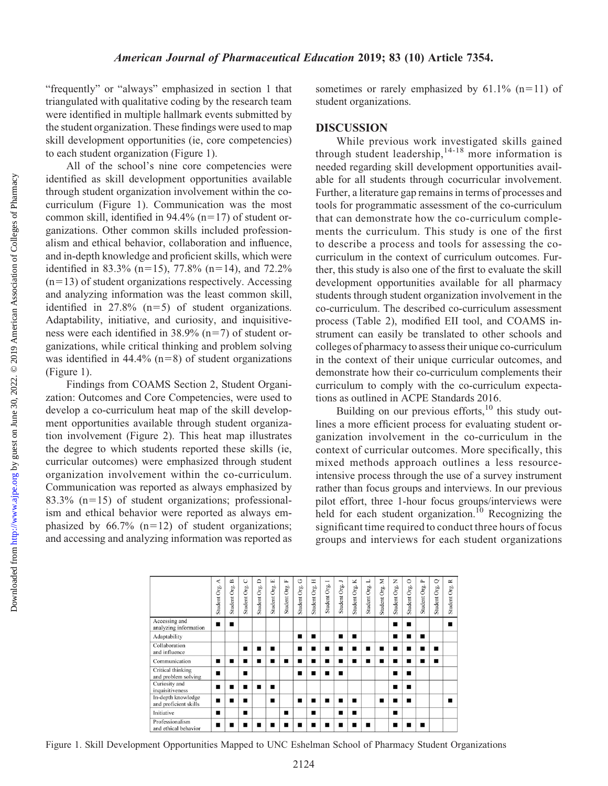"frequently" or "always" emphasized in section 1 that triangulated with qualitative coding by the research team were identified in multiple hallmark events submitted by the student organization. These findings were used to map skill development opportunities (ie, core competencies) to each student organization (Figure 1).

All of the school's nine core competencies were identified as skill development opportunities available through student organization involvement within the cocurriculum (Figure 1). Communication was the most common skill, identified in 94.4% ( $n=17$ ) of student organizations. Other common skills included professionalism and ethical behavior, collaboration and influence, and in-depth knowledge and proficient skills, which were identified in 83.3% (n=15), 77.8% (n=14), and 72.2%  $(n=13)$  of student organizations respectively. Accessing and analyzing information was the least common skill, identified in  $27.8\%$  (n=5) of student organizations. Adaptability, initiative, and curiosity, and inquisitiveness were each identified in  $38.9\%$  (n=7) of student organizations, while critical thinking and problem solving was identified in  $44.4\%$  (n=8) of student organizations (Figure 1).

Findings from COAMS Section 2, Student Organization: Outcomes and Core Competencies, were used to develop a co-curriculum heat map of the skill development opportunities available through student organization involvement (Figure 2). This heat map illustrates the degree to which students reported these skills (ie, curricular outcomes) were emphasized through student organization involvement within the co-curriculum. Communication was reported as always emphasized by 83.3%  $(n=15)$  of student organizations; professionalism and ethical behavior were reported as always emphasized by  $66.7\%$  (n=12) of student organizations; and accessing and analyzing information was reported as

sometimes or rarely emphasized by  $61.1\%$  (n=11) of student organizations.

### DISCUSSION

While previous work investigated skills gained through student leadership,  $14-18$  more information is needed regarding skill development opportunities available for all students through cocurricular involvement. Further, a literature gap remains in terms of processes and tools for programmatic assessment of the co-curriculum that can demonstrate how the co-curriculum complements the curriculum. This study is one of the first to describe a process and tools for assessing the cocurriculum in the context of curriculum outcomes. Further, this study is also one of the first to evaluate the skill development opportunities available for all pharmacy students through student organization involvement in the co-curriculum. The described co-curriculum assessment process (Table 2), modified EII tool, and COAMS instrument can easily be translated to other schools and colleges of pharmacy to assess their unique co-curriculum in the context of their unique curricular outcomes, and demonstrate how their co-curriculum complements their curriculum to comply with the co-curriculum expectations as outlined in ACPE Standards 2016.

Building on our previous efforts, $^{10}$  this study outlines a more efficient process for evaluating student organization involvement in the co-curriculum in the context of curricular outcomes. More specifically, this mixed methods approach outlines a less resourceintensive process through the use of a survey instrument rather than focus groups and interviews. In our previous pilot effort, three 1-hour focus groups/interviews were held for each student organization.<sup>10</sup> Recognizing the significant time required to conduct three hours of focus groups and interviews for each student organizations



Figure 1. Skill Development Opportunities Mapped to UNC Eshelman School of Pharmacy Student Organizations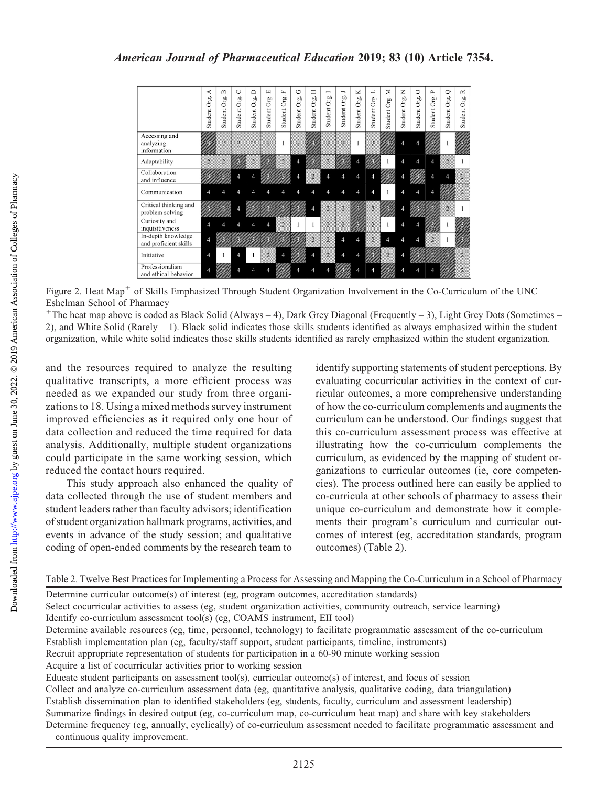|                                             | ≺<br>Org.<br>Student | $\mathbf{\underline{\square}}$<br>Org.<br>Student | ◡<br>Org.<br>Student | ≏<br>Org.<br>Student | $\begin{array}{c} \square \end{array}$<br>Org.<br>Student | L.<br>Org.<br>Student | O<br>Org.<br>Student <sup>6</sup> | Η<br>Org.<br>Student | −<br>Student Org. | ∽<br>Student Org. | K<br>Org.<br>Student | ⊐<br>Org.<br>Student | ⋝<br>Org.<br>Student | z<br>Org.<br>Student | 0<br>Org.<br>Student | $\sim$<br>Org.<br>Student | $\circ$<br>Org.<br>Student | ≃<br>Org.<br>Student |
|---------------------------------------------|----------------------|---------------------------------------------------|----------------------|----------------------|-----------------------------------------------------------|-----------------------|-----------------------------------|----------------------|-------------------|-------------------|----------------------|----------------------|----------------------|----------------------|----------------------|---------------------------|----------------------------|----------------------|
| Accessing and<br>analyzing<br>information   |                      |                                                   | $\alpha$             | $\overline{2}$       | 2                                                         |                       | Q                                 |                      | ä                 | $\overline{2}$    |                      |                      |                      |                      |                      |                           |                            |                      |
| Adaptability                                | $\overline{2}$       |                                                   |                      | 2                    |                                                           |                       |                                   |                      |                   |                   |                      |                      |                      |                      |                      |                           | 2                          |                      |
| Collaboration<br>and influence              |                      |                                                   |                      | ⊿                    |                                                           |                       |                                   |                      |                   |                   |                      |                      |                      |                      |                      |                           |                            |                      |
| Communication                               |                      |                                                   |                      |                      |                                                           |                       |                                   |                      |                   |                   |                      |                      |                      |                      |                      |                           |                            |                      |
| Critical thinking and<br>problem solving    |                      |                                                   |                      |                      |                                                           |                       |                                   |                      | э                 | 2                 |                      |                      |                      |                      |                      |                           |                            |                      |
| Curiosity and<br>inquisitiveness            |                      |                                                   |                      |                      |                                                           | 2                     |                                   |                      | 2                 |                   |                      | Ŷ.                   |                      |                      |                      |                           |                            |                      |
| In-depth knowledge<br>and proficient skills | $\overline{4}$       |                                                   |                      |                      |                                                           |                       |                                   | 2                    |                   |                   |                      |                      |                      |                      |                      | $\overline{2}$            |                            |                      |
| Initiative                                  | 4                    |                                                   |                      |                      |                                                           |                       |                                   |                      |                   |                   |                      |                      |                      |                      |                      |                           |                            |                      |
| Professionalism<br>and ethical behavior     | 4                    |                                                   |                      |                      |                                                           |                       |                                   |                      |                   |                   |                      |                      |                      |                      |                      |                           |                            |                      |

Figure 2. Heat Map<sup>+</sup> of Skills Emphasized Through Student Organization Involvement in the Co-Curriculum of the UNC Eshelman School of Pharmacy

 $+$ The heat map above is coded as Black Solid (Always – 4), Dark Grey Diagonal (Frequently – 3), Light Grey Dots (Sometimes – 2), and White Solid (Rarely – 1). Black solid indicates those skills students identified as always emphasized within the student organization, while white solid indicates those skills students identified as rarely emphasized within the student organization.

and the resources required to analyze the resulting qualitative transcripts, a more efficient process was needed as we expanded our study from three organizations to 18. Using a mixed methods survey instrument improved efficiencies as it required only one hour of data collection and reduced the time required for data analysis. Additionally, multiple student organizations could participate in the same working session, which reduced the contact hours required.

This study approach also enhanced the quality of data collected through the use of student members and student leaders rather than faculty advisors; identification of student organization hallmark programs, activities, and events in advance of the study session; and qualitative coding of open-ended comments by the research team to

identify supporting statements of student perceptions. By evaluating cocurricular activities in the context of curricular outcomes, a more comprehensive understanding of how the co-curriculum complements and augments the curriculum can be understood. Our findings suggest that this co-curriculum assessment process was effective at illustrating how the co-curriculum complements the curriculum, as evidenced by the mapping of student organizations to curricular outcomes (ie, core competencies). The process outlined here can easily be applied to co-curricula at other schools of pharmacy to assess their unique co-curriculum and demonstrate how it complements their program's curriculum and curricular outcomes of interest (eg, accreditation standards, program outcomes) (Table 2).

```
Table 2. Twelve Best Practices for Implementing a Process for Assessing and Mapping the Co-Curriculum in a School of Pharmacy
```

| Determine curricular outcome(s) of interest (eg, program outcomes, accreditation standards)                                                                    |
|----------------------------------------------------------------------------------------------------------------------------------------------------------------|
| Select cocurricular activities to assess (eg, student organization activities, community outreach, service learning)                                           |
| Identify co-curriculum assessment tool(s) (eg, COAMS instrument, EII tool)                                                                                     |
| Determine available resources (eg, time, personnel, technology) to facilitate programmatic assessment of the co-curriculum                                     |
| Establish implementation plan (eg, faculty/staff support, student participants, timeline, instruments)                                                         |
| Recruit appropriate representation of students for participation in a 60-90 minute working session                                                             |
| Acquire a list of cocurricular activities prior to working session                                                                                             |
| Educate student participants on assessment tool(s), curricular outcome(s) of interest, and focus of session                                                    |
| Collect and analyze co-curriculum assessment data (eg, quantitative analysis, qualitative coding, data triangulation)                                          |
| Establish dissemination plan to identified stakeholders (eg, students, faculty, curriculum and assessment leadership)                                          |
| Summarize findings in desired output (eg, co-curriculum map, co-curriculum heat map) and share with key stakeholders                                           |
| Determine frequency (eg, annually, cyclically) of co-curriculum assessment needed to facilitate programmatic assessment and<br>continuous quality improvement. |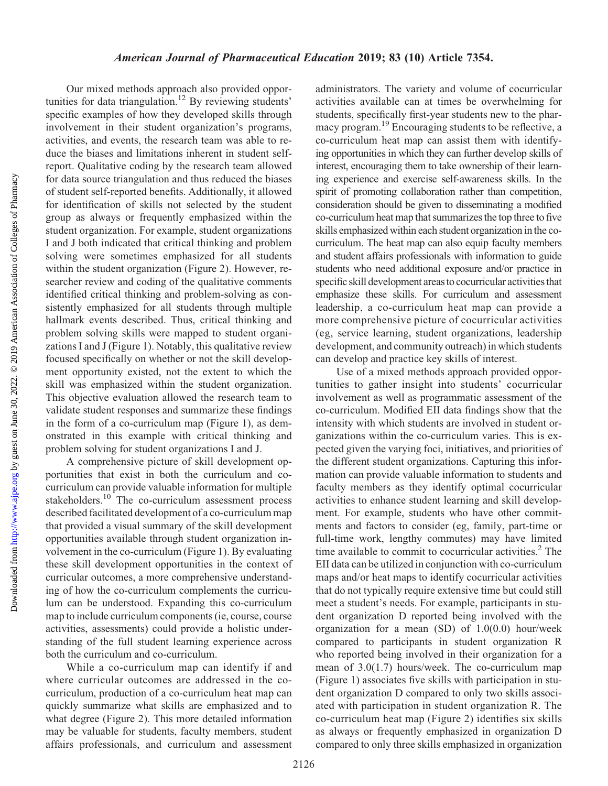Our mixed methods approach also provided opportunities for data triangulation.<sup>12</sup> By reviewing students' specific examples of how they developed skills through involvement in their student organization's programs, activities, and events, the research team was able to reduce the biases and limitations inherent in student selfreport. Qualitative coding by the research team allowed for data source triangulation and thus reduced the biases of student self-reported benefits. Additionally, it allowed for identification of skills not selected by the student group as always or frequently emphasized within the student organization. For example, student organizations I and J both indicated that critical thinking and problem solving were sometimes emphasized for all students within the student organization (Figure 2). However, researcher review and coding of the qualitative comments identified critical thinking and problem-solving as consistently emphasized for all students through multiple hallmark events described. Thus, critical thinking and problem solving skills were mapped to student organizations I and J (Figure 1). Notably, this qualitative review focused specifically on whether or not the skill development opportunity existed, not the extent to which the skill was emphasized within the student organization. This objective evaluation allowed the research team to validate student responses and summarize these findings in the form of a co-curriculum map (Figure 1), as demonstrated in this example with critical thinking and problem solving for student organizations I and J.

A comprehensive picture of skill development opportunities that exist in both the curriculum and cocurriculum can provide valuable information for multiple stakeholders.<sup>10</sup> The co-curriculum assessment process described facilitated development of a co-curriculum map that provided a visual summary of the skill development opportunities available through student organization involvement in the co-curriculum (Figure 1). By evaluating these skill development opportunities in the context of curricular outcomes, a more comprehensive understanding of how the co-curriculum complements the curriculum can be understood. Expanding this co-curriculum map to include curriculum components (ie, course, course activities, assessments) could provide a holistic understanding of the full student learning experience across both the curriculum and co-curriculum.

While a co-curriculum map can identify if and where curricular outcomes are addressed in the cocurriculum, production of a co-curriculum heat map can quickly summarize what skills are emphasized and to what degree (Figure 2). This more detailed information may be valuable for students, faculty members, student affairs professionals, and curriculum and assessment

administrators. The variety and volume of cocurricular activities available can at times be overwhelming for students, specifically first-year students new to the pharmacy program.<sup>19</sup> Encouraging students to be reflective, a co-curriculum heat map can assist them with identifying opportunities in which they can further develop skills of interest, encouraging them to take ownership of their learning experience and exercise self-awareness skills. In the spirit of promoting collaboration rather than competition, consideration should be given to disseminating a modified co-curriculum heat map that summarizes the top three to five skills emphasized within each student organization in the cocurriculum. The heat map can also equip faculty members and student affairs professionals with information to guide students who need additional exposure and/or practice in specific skill development areas to cocurricular activities that emphasize these skills. For curriculum and assessment leadership, a co-curriculum heat map can provide a more comprehensive picture of cocurricular activities (eg, service learning, student organizations, leadership development, and community outreach) in which students can develop and practice key skills of interest.

Use of a mixed methods approach provided opportunities to gather insight into students' cocurricular involvement as well as programmatic assessment of the co-curriculum. Modified EII data findings show that the intensity with which students are involved in student organizations within the co-curriculum varies. This is expected given the varying foci, initiatives, and priorities of the different student organizations. Capturing this information can provide valuable information to students and faculty members as they identify optimal cocurricular activities to enhance student learning and skill development. For example, students who have other commitments and factors to consider (eg, family, part-time or full-time work, lengthy commutes) may have limited time available to commit to cocurricular activities. $<sup>2</sup>$  The</sup> EII data can be utilized in conjunction with co-curriculum maps and/or heat maps to identify cocurricular activities that do not typically require extensive time but could still meet a student's needs. For example, participants in student organization D reported being involved with the organization for a mean (SD) of 1.0(0.0) hour/week compared to participants in student organization R who reported being involved in their organization for a mean of 3.0(1.7) hours/week. The co-curriculum map (Figure 1) associates five skills with participation in student organization D compared to only two skills associated with participation in student organization R. The co-curriculum heat map (Figure 2) identifies six skills as always or frequently emphasized in organization D compared to only three skills emphasized in organization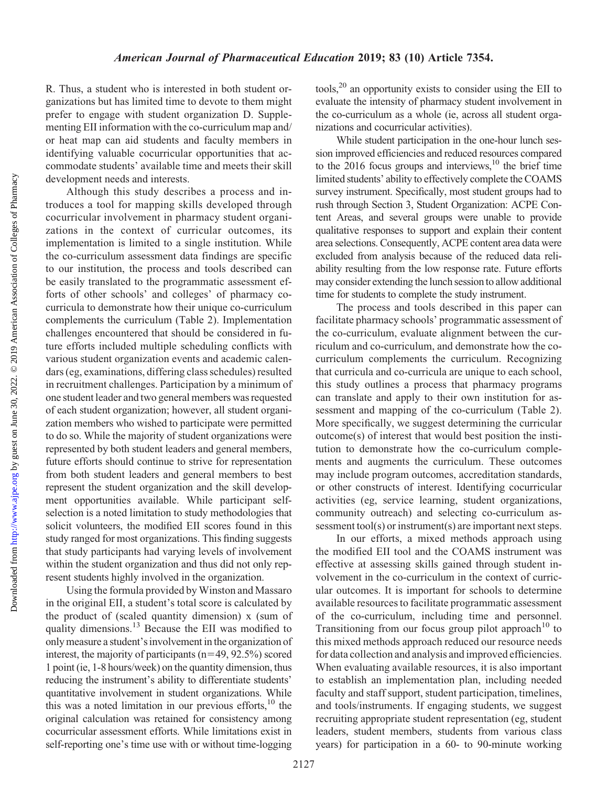Downloaded from

R. Thus, a student who is interested in both student organizations but has limited time to devote to them might prefer to engage with student organization D. Supplementing EII information with the co-curriculum map and/ or heat map can aid students and faculty members in identifying valuable cocurricular opportunities that accommodate students' available time and meets their skill development needs and interests.

Although this study describes a process and introduces a tool for mapping skills developed through cocurricular involvement in pharmacy student organizations in the context of curricular outcomes, its implementation is limited to a single institution. While the co-curriculum assessment data findings are specific to our institution, the process and tools described can be easily translated to the programmatic assessment efforts of other schools' and colleges' of pharmacy cocurricula to demonstrate how their unique co-curriculum complements the curriculum (Table 2). Implementation challenges encountered that should be considered in future efforts included multiple scheduling conflicts with various student organization events and academic calendars (eg, examinations, differing class schedules) resulted in recruitment challenges. Participation by a minimum of one student leader and two general members was requested of each student organization; however, all student organization members who wished to participate were permitted to do so. While the majority of student organizations were represented by both student leaders and general members, future efforts should continue to strive for representation from both student leaders and general members to best represent the student organization and the skill development opportunities available. While participant selfselection is a noted limitation to study methodologies that solicit volunteers, the modified EII scores found in this study ranged for most organizations. This finding suggests that study participants had varying levels of involvement within the student organization and thus did not only represent students highly involved in the organization.

Using the formula provided by Winston and Massaro in the original EII, a student's total score is calculated by the product of (scaled quantity dimension) x (sum of quality dimensions.13 Because the EII was modified to only measure a student's involvement in the organization of interest, the majority of participants  $(n=49, 92.5%)$  scored 1 point (ie, 1-8 hours/week) on the quantity dimension, thus reducing the instrument's ability to differentiate students' quantitative involvement in student organizations. While this was a noted limitation in our previous efforts, $10$  the original calculation was retained for consistency among cocurricular assessment efforts. While limitations exist in self-reporting one's time use with or without time-logging

tools,20 an opportunity exists to consider using the EII to evaluate the intensity of pharmacy student involvement in the co-curriculum as a whole (ie, across all student organizations and cocurricular activities).

While student participation in the one-hour lunch session improved efficiencies and reduced resources compared to the  $2016$  focus groups and interviews, <sup>10</sup> the brief time limited students' ability to effectively complete the COAMS survey instrument. Specifically, most student groups had to rush through Section 3, Student Organization: ACPE Content Areas, and several groups were unable to provide qualitative responses to support and explain their content area selections. Consequently, ACPE content area data were excluded from analysis because of the reduced data reliability resulting from the low response rate. Future efforts may consider extending the lunch session to allow additional time for students to complete the study instrument.

The process and tools described in this paper can facilitate pharmacy schools' programmatic assessment of the co-curriculum, evaluate alignment between the curriculum and co-curriculum, and demonstrate how the cocurriculum complements the curriculum. Recognizing that curricula and co-curricula are unique to each school, this study outlines a process that pharmacy programs can translate and apply to their own institution for assessment and mapping of the co-curriculum (Table 2). More specifically, we suggest determining the curricular outcome(s) of interest that would best position the institution to demonstrate how the co-curriculum complements and augments the curriculum. These outcomes may include program outcomes, accreditation standards, or other constructs of interest. Identifying cocurricular activities (eg, service learning, student organizations, community outreach) and selecting co-curriculum assessment tool(s) or instrument(s) are important next steps.

In our efforts, a mixed methods approach using the modified EII tool and the COAMS instrument was effective at assessing skills gained through student involvement in the co-curriculum in the context of curricular outcomes. It is important for schools to determine available resources to facilitate programmatic assessment of the co-curriculum, including time and personnel. Transitioning from our focus group pilot approach<sup>10</sup> to this mixed methods approach reduced our resource needs for data collection and analysis and improved efficiencies. When evaluating available resources, it is also important to establish an implementation plan, including needed faculty and staff support, student participation, timelines, and tools/instruments. If engaging students, we suggest recruiting appropriate student representation (eg, student leaders, student members, students from various class years) for participation in a 60- to 90-minute working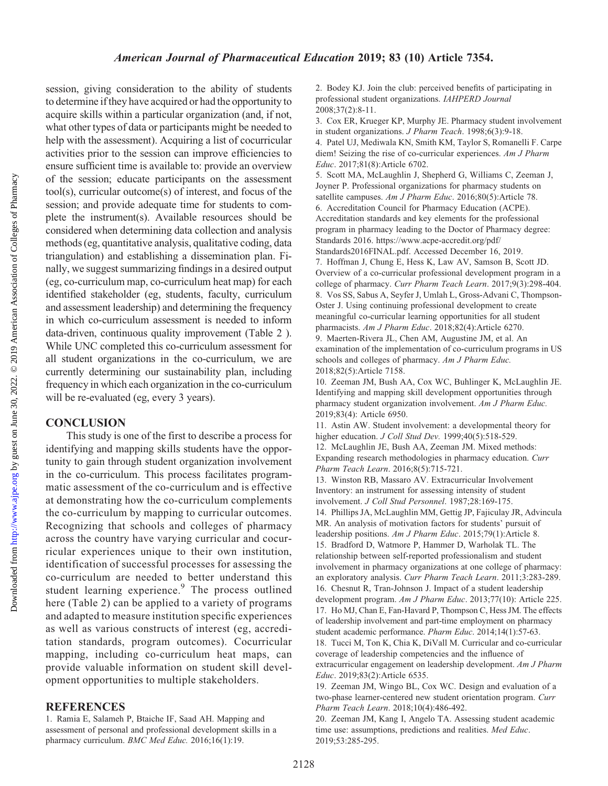Downloaded from http://www.ajpe.org by guest on June 30, 2022. © 2019 American Association of Colleges of Pharmacy by guest on June 30, 2022. © 2019 American Association of Colleges of Pharmacy <http://www.ajpe.org> Downloaded from

session, giving consideration to the ability of students to determine if they have acquired or had the opportunity to acquire skills within a particular organization (and, if not, what other types of data or participants might be needed to help with the assessment). Acquiring a list of cocurricular activities prior to the session can improve efficiencies to ensure sufficient time is available to: provide an overview of the session; educate participants on the assessment tool(s), curricular outcome(s) of interest, and focus of the session; and provide adequate time for students to complete the instrument(s). Available resources should be considered when determining data collection and analysis methods (eg, quantitative analysis, qualitative coding, data triangulation) and establishing a dissemination plan. Finally, we suggest summarizing findings in a desired output (eg, co-curriculum map, co-curriculum heat map) for each identified stakeholder (eg, students, faculty, curriculum and assessment leadership) and determining the frequency in which co-curriculum assessment is needed to inform data-driven, continuous quality improvement (Table 2 ). While UNC completed this co-curriculum assessment for all student organizations in the co-curriculum, we are currently determining our sustainability plan, including frequency in which each organization in the co-curriculum will be re-evaluated (eg, every 3 years).

#### **CONCLUSION**

This study is one of the first to describe a process for identifying and mapping skills students have the opportunity to gain through student organization involvement in the co-curriculum. This process facilitates programmatic assessment of the co-curriculum and is effective at demonstrating how the co-curriculum complements the co-curriculum by mapping to curricular outcomes. Recognizing that schools and colleges of pharmacy across the country have varying curricular and cocurricular experiences unique to their own institution, identification of successful processes for assessing the co-curriculum are needed to better understand this student learning experience.<sup>9</sup> The process outlined here (Table 2) can be applied to a variety of programs and adapted to measure institution specific experiences as well as various constructs of interest (eg, accreditation standards, program outcomes). Cocurricular mapping, including co-curriculum heat maps, can provide valuable information on student skill development opportunities to multiple stakeholders.

#### REFERENCES

1. Ramia E, Salameh P, Btaiche IF, Saad AH. Mapping and assessment of personal and professional development skills in a pharmacy curriculum. BMC Med Educ. 2016;16(1):19.

2. Bodey KJ. Join the club: perceived benefits of participating in professional student organizations. IAHPERD Journal 2008;37(2):8-11.

3. Cox ER, Krueger KP, Murphy JE. Pharmacy student involvement in student organizations. J Pharm Teach. 1998;6(3):9-18. 4. Patel UJ, Mediwala KN, Smith KM, Taylor S, Romanelli F. Carpe diem! Seizing the rise of co-curricular experiences. Am J Pharm Educ. 2017;81(8):Article 6702.

5. Scott MA, McLaughlin J, Shepherd G, Williams C, Zeeman J, Joyner P. Professional organizations for pharmacy students on satellite campuses. Am J Pharm Educ. 2016;80(5):Article 78. 6. Accreditation Council for Pharmacy Education (ACPE). Accreditation standards and key elements for the professional program in pharmacy leading to the Doctor of Pharmacy degree: Standards 2016. [https://www.acpe-accredit.org/pdf/](https://www.acpe-accredit.org/pdf/Standards2016FINAL.pdf) [Standards2016FINAL.pdf.](https://www.acpe-accredit.org/pdf/Standards2016FINAL.pdf) Accessed December 16, 2019. 7. Hoffman J, Chung E, Hess K, Law AV, Samson B, Scott JD. Overview of a co-curricular professional development program in a college of pharmacy. Curr Pharm Teach Learn. 2017;9(3):298-404. 8. Vos SS, Sabus A, Seyfer J, Umlah L, Gross-Advani C, Thompson-Oster J. Using continuing professional development to create meaningful co-curricular learning opportunities for all student pharmacists. Am J Pharm Educ. 2018;82(4):Article 6270. 9. Maerten-Rivera JL, Chen AM, Augustine JM, et al. An examination of the implementation of co-curriculum programs in US schools and colleges of pharmacy. Am J Pharm Educ.

2018;82(5):Article 7158.

10. Zeeman JM, Bush AA, Cox WC, Buhlinger K, McLaughlin JE. Identifying and mapping skill development opportunities through pharmacy student organization involvement. Am J Pharm Educ. 2019;83(4): Article 6950.

11. Astin AW. Student involvement: a developmental theory for higher education. J Coll Stud Dev. 1999;40(5):518-529.

12. McLaughlin JE, Bush AA, Zeeman JM. Mixed methods: Expanding research methodologies in pharmacy education. Curr Pharm Teach Learn. 2016;8(5):715-721.

13. Winston RB, Massaro AV. Extracurricular Involvement Inventory: an instrument for assessing intensity of student involvement. J Coll Stud Personnel. 1987;28:169-175. 14. Phillips JA, McLaughlin MM, Gettig JP, Fajiculay JR, Advincula MR. An analysis of motivation factors for students' pursuit of leadership positions. Am J Pharm Educ. 2015;79(1):Article 8. 15. Bradford D, Watmore P, Hammer D, Warholak TL. The relationship between self-reported professionalism and student involvement in pharmacy organizations at one college of pharmacy: an exploratory analysis. Curr Pharm Teach Learn. 2011;3:283-289. 16. Chesnut R, Tran-Johnson J. Impact of a student leadership development program. Am J Pharm Educ. 2013;77(10): Article 225. 17. Ho MJ, Chan E, Fan-Havard P, Thompson C, Hess JM. The effects of leadership involvement and part-time employment on pharmacy student academic performance. Pharm Educ. 2014;14(1):57-63. 18. Tucci M, Ton K, Chia K, DiVall M. Curricular and co-curricular coverage of leadership competencies and the influence of extracurricular engagement on leadership development. Am J Pharm Educ. 2019;83(2):Article 6535.

19. Zeeman JM, Wingo BL, Cox WC. Design and evaluation of a two-phase learner-centered new student orientation program. Curr Pharm Teach Learn. 2018;10(4):486-492.

20. Zeeman JM, Kang I, Angelo TA. Assessing student academic time use: assumptions, predictions and realities. Med Educ. 2019;53:285-295.